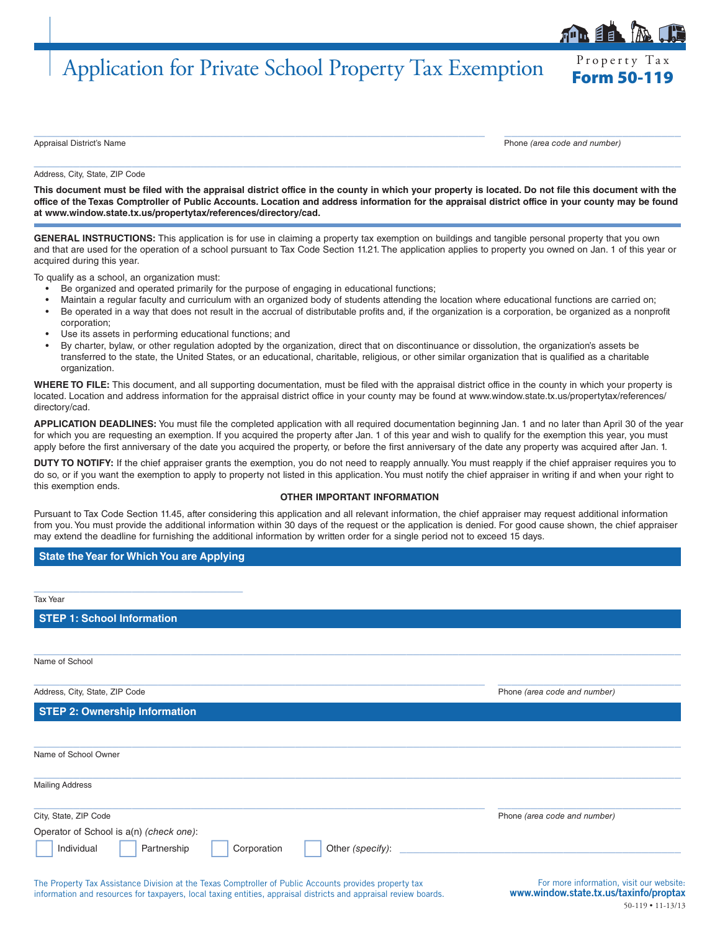# Application for Private School Property Tax Exemption Form 50-119

 $\_$  , and the set of the set of the set of the set of the set of the set of the set of the set of the set of the set of the set of the set of the set of the set of the set of the set of the set of the set of the set of th

Appraisal District's Name Phone *(area code and number)*

Property Tax

Address, City, State, ZIP Code

**This document must be filed with the appraisal district office in the county in which your property is located. Do not file this document with the office of the Texas Comptroller of Public Accounts. Location and address information for the appraisal district office in your county may be found at www.window.state.tx.us/propertytax/references/directory/cad.**

 $\_$  , and the set of the set of the set of the set of the set of the set of the set of the set of the set of the set of the set of the set of the set of the set of the set of the set of the set of the set of the set of th

**GENERAL INSTRUCTIONS:** This application is for use in claiming a property tax exemption on buildings and tangible personal property that you own and that are used for the operation of a school pursuant to Tax Code Section 11.21. The application applies to property you owned on Jan. 1 of this year or acquired during this year.

To qualify as a school, an organization must:

- Be organized and operated primarily for the purpose of engaging in educational functions;
- Maintain a regular faculty and curriculum with an organized body of students attending the location where educational functions are carried on;
- Be operated in a way that does not result in the accrual of distributable profits and, if the organization is a corporation, be organized as a nonprofit corporation;
- Use its assets in performing educational functions; and
- By charter, bylaw, or other regulation adopted by the organization, direct that on discontinuance or dissolution, the organization's assets be transferred to the state, the United States, or an educational, charitable, religious, or other similar organization that is qualified as a charitable organization.

**WHERE TO FILE:** This document, and all supporting documentation, must be filed with the appraisal district office in the county in which your property is located. Location and address information for the appraisal district office in your county may be found at www.window.state.tx.us/propertytax/references/ directory/cad.

**APPLICATION DEADLINES:** You must file the completed application with all required documentation beginning Jan. 1 and no later than April 30 of the year for which you are requesting an exemption. If you acquired the property after Jan. 1 of this year and wish to qualify for the exemption this year, you must apply before the first anniversary of the date you acquired the property, or before the first anniversary of the date any property was acquired after Jan. 1.

**DUTY TO NOTIFY:** If the chief appraiser grants the exemption, you do not need to reapply annually. You must reapply if the chief appraiser requires you to do so, or if you want the exemption to apply to property not listed in this application. You must notify the chief appraiser in writing if and when your right to this exemption ends.

#### **OTHER IMPORTANT INFORMATION**

Pursuant to Tax Code Section 11.45, after considering this application and all relevant information, the chief appraiser may request additional information from you. You must provide the additional information within 30 days of the request or the application is denied. For good cause shown, the chief appraiser may extend the deadline for furnishing the additional information by written order for a single period not to exceed 15 days.

 $\_$  , and the set of the set of the set of the set of the set of the set of the set of the set of the set of the set of the set of the set of the set of the set of the set of the set of the set of the set of the set of th

**State the Year for Which You are Applying**

\_\_\_\_\_\_\_\_\_\_\_\_\_\_\_\_\_\_\_\_\_\_\_\_\_\_\_\_\_\_\_\_

Tax Year

**STEP 1: School Information**

Name of School

**STEP 2: Ownership Information**

 $\_$  , and the set of the set of the set of the set of the set of the set of the set of the set of the set of the set of the set of the set of the set of the set of the set of the set of the set of the set of the set of th Address, City, State, ZIP Code Phone *(area code and number)*

 $\_$  , and the set of the set of the set of the set of the set of the set of the set of the set of the set of the set of the set of the set of the set of the set of the set of the set of the set of the set of the set of th Name of School Owner

| <b>Mailing Address</b>                   |                  |                              |  |  |
|------------------------------------------|------------------|------------------------------|--|--|
| City, State, ZIP Code                    |                  | Phone (area code and number) |  |  |
| Operator of School is a(n) (check one):  |                  |                              |  |  |
| Individual<br>Partnership<br>Corporation | Other (specify): |                              |  |  |

The Property Tax Assistance Division at the Texas Comptroller of Public Accounts provides property tax information and resources for taxpayers, local taxing entities, appraisal districts and appraisal review boards.

For more information, visit our website: www.window.state.tx.us/taxinfo/proptax 50-119 • 11-13/13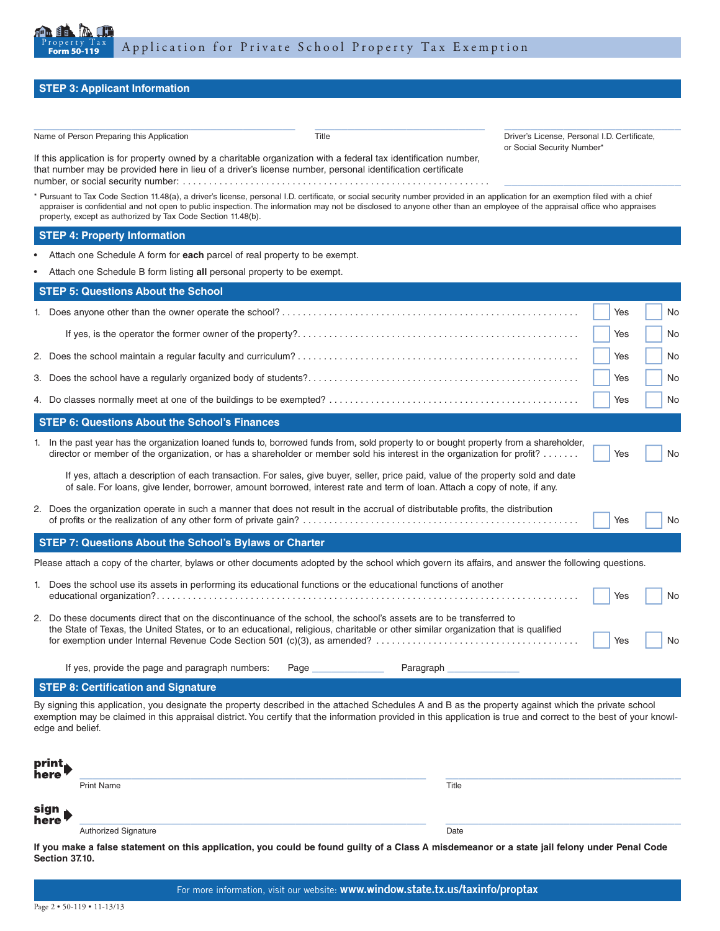

If this application is for property owned by a charitable organization with a federal tax identification number,

\_\_\_\_\_\_\_\_\_\_\_\_\_\_\_\_\_\_\_\_\_\_\_\_\_\_\_\_\_\_\_\_\_\_\_\_\_\_\_\_ \_\_\_\_\_\_\_\_\_\_\_\_\_\_\_\_\_\_\_\_\_\_\_\_\_\_ \_\_\_\_\_\_\_\_\_\_\_\_\_\_\_\_\_\_\_\_\_\_\_\_\_\_\_ Name of Person Preparing this Application Title Title Communication Driver's License, Personal I.D. Certificate,

or Social Security Number\*

### **STEP 3: Applicant Information**

|               | that number may be provided here in lieu of a driver's license number, personal identification certificate                                                                                                                                                                                                                                                                                                                   |     |     |
|---------------|------------------------------------------------------------------------------------------------------------------------------------------------------------------------------------------------------------------------------------------------------------------------------------------------------------------------------------------------------------------------------------------------------------------------------|-----|-----|
|               | * Pursuant to Tax Code Section 11.48(a), a driver's license, personal I.D. certificate, or social security number provided in an application for an exemption filed with a chief<br>appraiser is confidential and not open to public inspection. The information may not be disclosed to anyone other than an employee of the appraisal office who appraises<br>property, except as authorized by Tax Code Section 11.48(b). |     |     |
|               | <b>STEP 4: Property Information</b>                                                                                                                                                                                                                                                                                                                                                                                          |     |     |
|               | Attach one Schedule A form for each parcel of real property to be exempt.                                                                                                                                                                                                                                                                                                                                                    |     |     |
|               | Attach one Schedule B form listing all personal property to be exempt.                                                                                                                                                                                                                                                                                                                                                       |     |     |
|               | <b>STEP 5: Questions About the School</b>                                                                                                                                                                                                                                                                                                                                                                                    |     |     |
|               |                                                                                                                                                                                                                                                                                                                                                                                                                              | Yes | No  |
|               |                                                                                                                                                                                                                                                                                                                                                                                                                              | Yes | No. |
|               |                                                                                                                                                                                                                                                                                                                                                                                                                              | Yes | No. |
|               |                                                                                                                                                                                                                                                                                                                                                                                                                              | Yes | No. |
|               |                                                                                                                                                                                                                                                                                                                                                                                                                              | Yes | No. |
|               | <b>STEP 6: Questions About the School's Finances</b>                                                                                                                                                                                                                                                                                                                                                                         |     |     |
|               | 1. In the past year has the organization loaned funds to, borrowed funds from, sold property to or bought property from a shareholder,<br>director or member of the organization, or has a shareholder or member sold his interest in the organization for profit?                                                                                                                                                           | Yes | No  |
|               | If yes, attach a description of each transaction. For sales, give buyer, seller, price paid, value of the property sold and date<br>of sale. For loans, give lender, borrower, amount borrowed, interest rate and term of loan. Attach a copy of note, if any.                                                                                                                                                               |     |     |
|               | 2. Does the organization operate in such a manner that does not result in the accrual of distributable profits, the distribution                                                                                                                                                                                                                                                                                             | Yes | No  |
|               | STEP 7: Questions About the School's Bylaws or Charter                                                                                                                                                                                                                                                                                                                                                                       |     |     |
|               | Please attach a copy of the charter, bylaws or other documents adopted by the school which govern its affairs, and answer the following questions.                                                                                                                                                                                                                                                                           |     |     |
|               | 1. Does the school use its assets in performing its educational functions or the educational functions of another                                                                                                                                                                                                                                                                                                            | Yes | No. |
|               | 2. Do these documents direct that on the discontinuance of the school, the school's assets are to be transferred to<br>the State of Texas, the United States, or to an educational, religious, charitable or other similar organization that is qualified                                                                                                                                                                    | Yes | No  |
|               | If yes, provide the page and paragraph numbers:<br>Paragraph<br>Page                                                                                                                                                                                                                                                                                                                                                         |     |     |
|               | <b>STEP 8: Certification and Signature</b>                                                                                                                                                                                                                                                                                                                                                                                   |     |     |
|               | By signing this application, you designate the property described in the attached Schedules A and B as the property against which the private school<br>exemption may be claimed in this appraisal district. You certify that the information provided in this application is true and correct to the best of your knowl-<br>edge and belief.                                                                                |     |     |
| print<br>nere |                                                                                                                                                                                                                                                                                                                                                                                                                              |     |     |
|               | <b>Print Name</b><br>Title                                                                                                                                                                                                                                                                                                                                                                                                   |     |     |
| sign<br>here  |                                                                                                                                                                                                                                                                                                                                                                                                                              |     |     |
|               | <b>Authorized Signature</b><br>Date                                                                                                                                                                                                                                                                                                                                                                                          |     |     |
|               | If you make a false statement on this application, you could be found guilty of a Class A misdemeanor or a state jail felony under Penal Code                                                                                                                                                                                                                                                                                |     |     |

**Section 37.10.**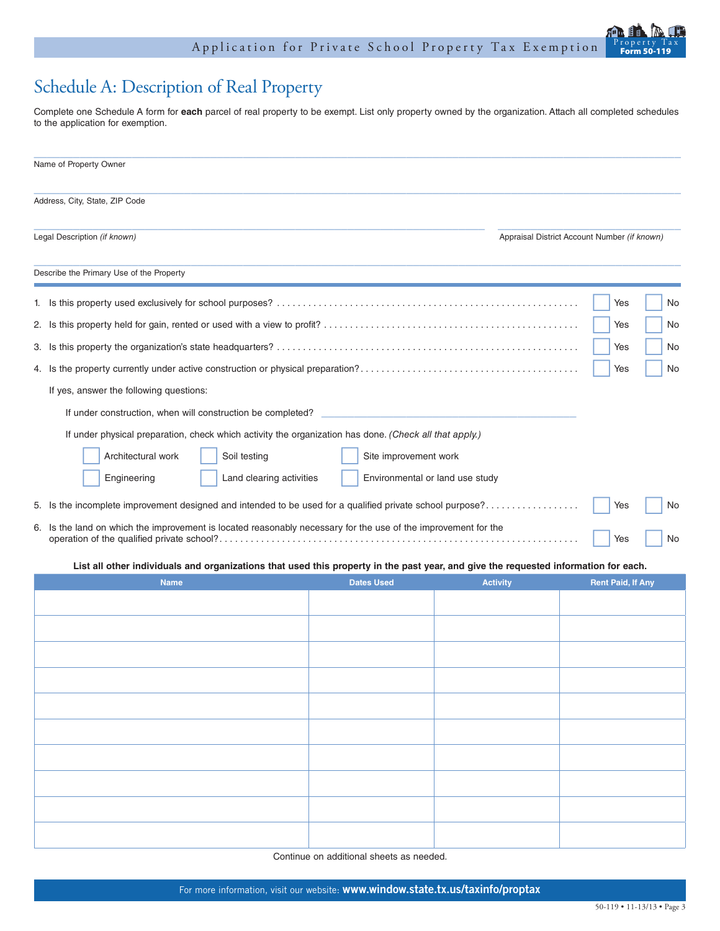## Schedule A: Description of Real Property

Complete one Schedule A form for **each** parcel of real property to be exempt. List only property owned by the organization. Attach all completed schedules to the application for exemption.

|  | Name of Property Owner                                                                                                              |     |    |
|--|-------------------------------------------------------------------------------------------------------------------------------------|-----|----|
|  | Address, City, State, ZIP Code                                                                                                      |     |    |
|  | Legal Description (if known)<br>Appraisal District Account Number (if known)                                                        |     |    |
|  | Describe the Primary Use of the Property                                                                                            |     |    |
|  |                                                                                                                                     | Yes | No |
|  |                                                                                                                                     | Yes | No |
|  |                                                                                                                                     | Yes | No |
|  |                                                                                                                                     | Yes | No |
|  | If yes, answer the following questions:                                                                                             |     |    |
|  | If under construction, when will construction be completed?                                                                         |     |    |
|  | If under physical preparation, check which activity the organization has done. (Check all that apply.)                              |     |    |
|  | Architectural work<br>Soil testing<br>Site improvement work                                                                         |     |    |
|  | Land clearing activities<br>Environmental or land use study<br>Engineering                                                          |     |    |
|  | 5. Is the incomplete improvement designed and intended to be used for a qualified private school purpose?                           | Yes | No |
|  | 6. Is the land on which the improvement is located reasonably necessary for the use of the improvement for the                      | Yes | No |
|  | List all other individuals and organizations that used this property in the past year, and give the requested information for each. |     |    |

| Name | <b>Dates Used</b> | <b>Activity</b> | <b>Rent Paid, If Any</b> |
|------|-------------------|-----------------|--------------------------|
|      |                   |                 |                          |
|      |                   |                 |                          |
|      |                   |                 |                          |
|      |                   |                 |                          |
|      |                   |                 |                          |
|      |                   |                 |                          |
|      |                   |                 |                          |
|      |                   |                 |                          |
|      |                   |                 |                          |
|      |                   |                 |                          |
|      |                   |                 |                          |

Continue on additional sheets as needed.

Form 50-119